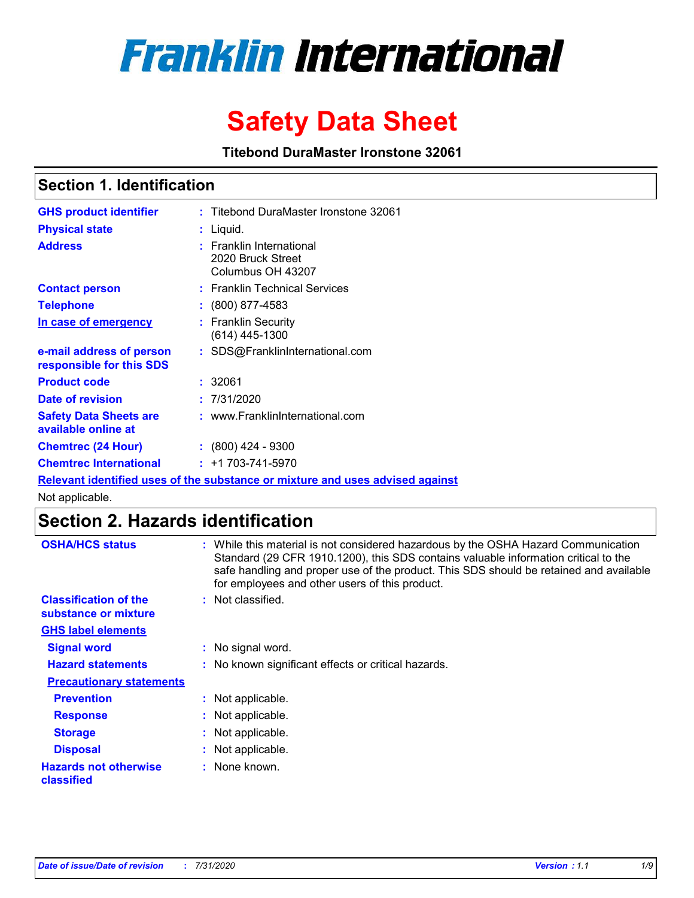# **Franklin International**

# **Safety Data Sheet**

**Titebond DuraMaster Ironstone 32061**

# **Section 1. Identification**

| <b>GHS product identifier</b>                        | : Titebond DuraMaster Ironstone 32061                                         |
|------------------------------------------------------|-------------------------------------------------------------------------------|
| <b>Physical state</b>                                | : Liquid.                                                                     |
| <b>Address</b>                                       | : Franklin International<br>2020 Bruck Street<br>Columbus OH 43207            |
| <b>Contact person</b>                                | : Franklin Technical Services                                                 |
| <b>Telephone</b>                                     | $\div$ (800) 877-4583                                                         |
| In case of emergency                                 | : Franklin Security<br>(614) 445-1300                                         |
| e-mail address of person<br>responsible for this SDS | : SDS@FranklinInternational.com                                               |
| <b>Product code</b>                                  | : 32061                                                                       |
| Date of revision                                     | : 7/31/2020                                                                   |
| <b>Safety Data Sheets are</b><br>available online at | : www.FranklinInternational.com                                               |
| <b>Chemtrec (24 Hour)</b>                            | $: (800)$ 424 - 9300                                                          |
| <b>Chemtrec International</b>                        | $: +1703 - 741 - 5970$                                                        |
|                                                      | Relevant identified uses of the substance or mixture and uses advised against |

Not applicable.

# **Section 2. Hazards identification**

| <b>OSHA/HCS status</b>                               | While this material is not considered hazardous by the OSHA Hazard Communication<br>Standard (29 CFR 1910.1200), this SDS contains valuable information critical to the<br>safe handling and proper use of the product. This SDS should be retained and available<br>for employees and other users of this product. |
|------------------------------------------------------|---------------------------------------------------------------------------------------------------------------------------------------------------------------------------------------------------------------------------------------------------------------------------------------------------------------------|
| <b>Classification of the</b><br>substance or mixture | Not classified.<br>÷.                                                                                                                                                                                                                                                                                               |
| <b>GHS label elements</b>                            |                                                                                                                                                                                                                                                                                                                     |
| <b>Signal word</b>                                   | : No signal word.                                                                                                                                                                                                                                                                                                   |
| <b>Hazard statements</b>                             | : No known significant effects or critical hazards.                                                                                                                                                                                                                                                                 |
| <b>Precautionary statements</b>                      |                                                                                                                                                                                                                                                                                                                     |
| <b>Prevention</b>                                    | : Not applicable.                                                                                                                                                                                                                                                                                                   |
| <b>Response</b>                                      | : Not applicable.                                                                                                                                                                                                                                                                                                   |
| <b>Storage</b>                                       | Not applicable.<br>÷.                                                                                                                                                                                                                                                                                               |
| <b>Disposal</b>                                      | Not applicable.<br>÷.                                                                                                                                                                                                                                                                                               |
| <b>Hazards not otherwise</b><br>classified           | None known.                                                                                                                                                                                                                                                                                                         |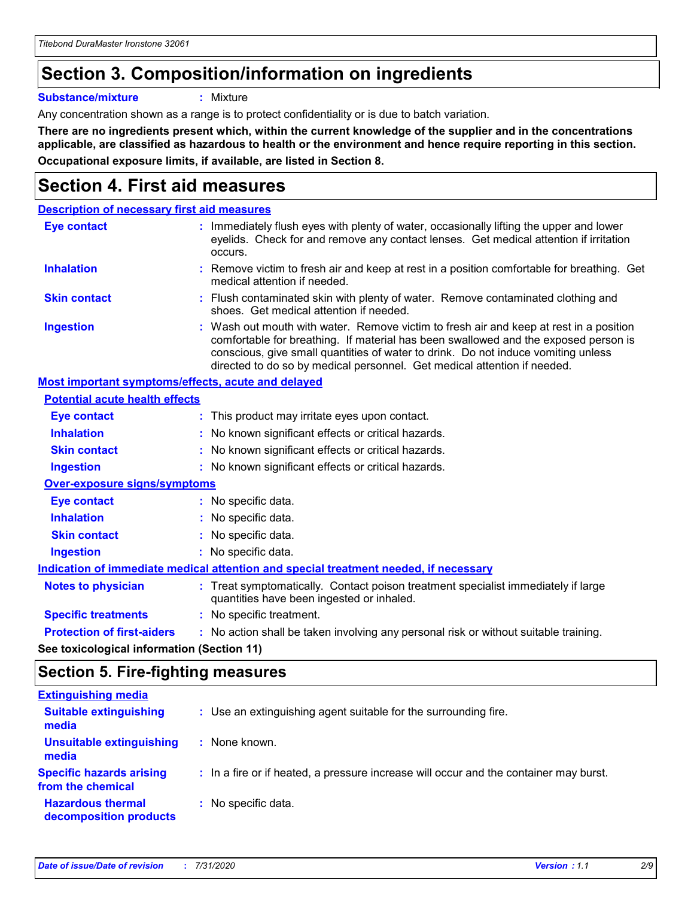# **Section 3. Composition/information on ingredients**

**Substance/mixture :** Mixture

Any concentration shown as a range is to protect confidentiality or is due to batch variation.

**There are no ingredients present which, within the current knowledge of the supplier and in the concentrations applicable, are classified as hazardous to health or the environment and hence require reporting in this section. Occupational exposure limits, if available, are listed in Section 8.**

# **Section 4. First aid measures**

| <b>Description of necessary first aid measures</b>                                   |  |                                                                                                                                                                                                                                                                                                                                                |  |
|--------------------------------------------------------------------------------------|--|------------------------------------------------------------------------------------------------------------------------------------------------------------------------------------------------------------------------------------------------------------------------------------------------------------------------------------------------|--|
| <b>Eye contact</b>                                                                   |  | : Immediately flush eyes with plenty of water, occasionally lifting the upper and lower<br>eyelids. Check for and remove any contact lenses. Get medical attention if irritation<br>occurs.                                                                                                                                                    |  |
| <b>Inhalation</b>                                                                    |  | : Remove victim to fresh air and keep at rest in a position comfortable for breathing. Get<br>medical attention if needed.                                                                                                                                                                                                                     |  |
| <b>Skin contact</b>                                                                  |  | : Flush contaminated skin with plenty of water. Remove contaminated clothing and<br>shoes. Get medical attention if needed.                                                                                                                                                                                                                    |  |
| <b>Ingestion</b>                                                                     |  | : Wash out mouth with water. Remove victim to fresh air and keep at rest in a position<br>comfortable for breathing. If material has been swallowed and the exposed person is<br>conscious, give small quantities of water to drink. Do not induce vomiting unless<br>directed to do so by medical personnel. Get medical attention if needed. |  |
| Most important symptoms/effects, acute and delayed                                   |  |                                                                                                                                                                                                                                                                                                                                                |  |
| <b>Potential acute health effects</b>                                                |  |                                                                                                                                                                                                                                                                                                                                                |  |
| <b>Eye contact</b>                                                                   |  | : This product may irritate eyes upon contact.                                                                                                                                                                                                                                                                                                 |  |
| <b>Inhalation</b>                                                                    |  | : No known significant effects or critical hazards.                                                                                                                                                                                                                                                                                            |  |
| <b>Skin contact</b>                                                                  |  | : No known significant effects or critical hazards.                                                                                                                                                                                                                                                                                            |  |
| <b>Ingestion</b>                                                                     |  | : No known significant effects or critical hazards.                                                                                                                                                                                                                                                                                            |  |
| <b>Over-exposure signs/symptoms</b>                                                  |  |                                                                                                                                                                                                                                                                                                                                                |  |
| Eye contact                                                                          |  | : No specific data.                                                                                                                                                                                                                                                                                                                            |  |
| <b>Inhalation</b>                                                                    |  | : No specific data.                                                                                                                                                                                                                                                                                                                            |  |
| <b>Skin contact</b>                                                                  |  | : No specific data.                                                                                                                                                                                                                                                                                                                            |  |
| <b>Ingestion</b>                                                                     |  | : No specific data.                                                                                                                                                                                                                                                                                                                            |  |
| Indication of immediate medical attention and special treatment needed, if necessary |  |                                                                                                                                                                                                                                                                                                                                                |  |
| <b>Notes to physician</b>                                                            |  | : Treat symptomatically. Contact poison treatment specialist immediately if large<br>quantities have been ingested or inhaled.                                                                                                                                                                                                                 |  |
| <b>Specific treatments</b>                                                           |  | : No specific treatment.                                                                                                                                                                                                                                                                                                                       |  |
| <b>Protection of first-aiders</b>                                                    |  | : No action shall be taken involving any personal risk or without suitable training.                                                                                                                                                                                                                                                           |  |
|                                                                                      |  |                                                                                                                                                                                                                                                                                                                                                |  |

**See toxicological information (Section 11)**

### **Section 5. Fire-fighting measures**

| <b>Extinguishing media</b>                           |                                                                                       |
|------------------------------------------------------|---------------------------------------------------------------------------------------|
| <b>Suitable extinguishing</b><br>media               | : Use an extinguishing agent suitable for the surrounding fire.                       |
| Unsuitable extinguishing<br>media                    | : None known.                                                                         |
| <b>Specific hazards arising</b><br>from the chemical | : In a fire or if heated, a pressure increase will occur and the container may burst. |
| <b>Hazardous thermal</b><br>decomposition products   | : No specific data.                                                                   |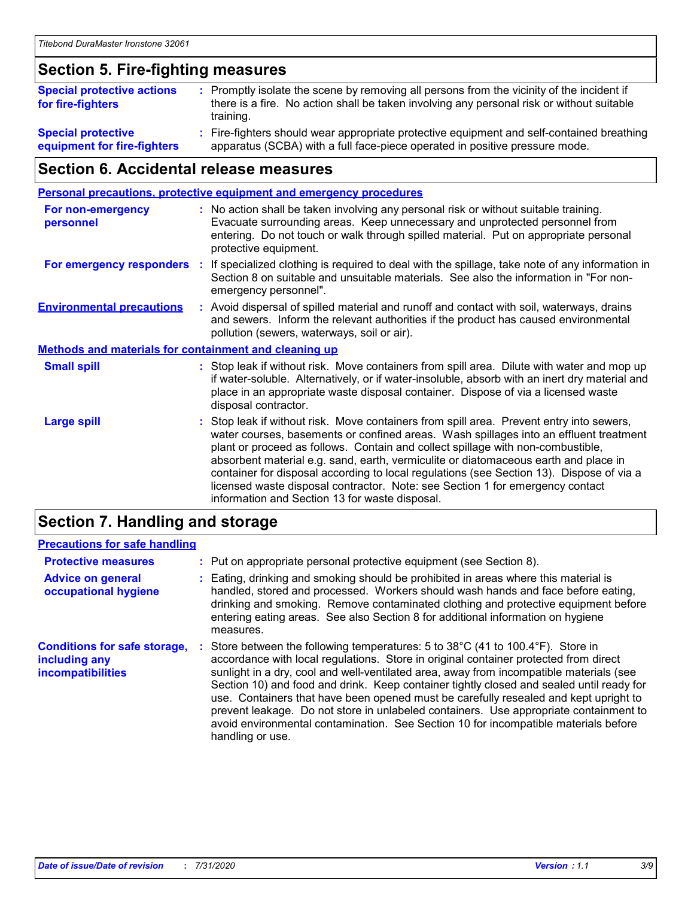## **Section 5. Fire-fighting measures**

| <b>Special protective actions</b><br>for fire-fighters | : Promptly isolate the scene by removing all persons from the vicinity of the incident if<br>there is a fire. No action shall be taken involving any personal risk or without suitable<br>training. |
|--------------------------------------------------------|-----------------------------------------------------------------------------------------------------------------------------------------------------------------------------------------------------|
| <b>Special protective</b>                              | : Fire-fighters should wear appropriate protective equipment and self-contained breathing                                                                                                           |
| equipment for fire-fighters                            | apparatus (SCBA) with a full face-piece operated in positive pressure mode.                                                                                                                         |

# **Section 6. Accidental release measures**

| <b>Personal precautions, protective equipment and emergency procedures</b> |    |                                                                                                                                                                                                                                                                                                                                                                                                                                                                                                                                                                                            |
|----------------------------------------------------------------------------|----|--------------------------------------------------------------------------------------------------------------------------------------------------------------------------------------------------------------------------------------------------------------------------------------------------------------------------------------------------------------------------------------------------------------------------------------------------------------------------------------------------------------------------------------------------------------------------------------------|
| <b>For non-emergency</b><br>personnel                                      |    | : No action shall be taken involving any personal risk or without suitable training.<br>Evacuate surrounding areas. Keep unnecessary and unprotected personnel from<br>entering. Do not touch or walk through spilled material. Put on appropriate personal<br>protective equipment.                                                                                                                                                                                                                                                                                                       |
| For emergency responders                                                   | ÷. | If specialized clothing is required to deal with the spillage, take note of any information in<br>Section 8 on suitable and unsuitable materials. See also the information in "For non-<br>emergency personnel".                                                                                                                                                                                                                                                                                                                                                                           |
| <b>Environmental precautions</b>                                           |    | : Avoid dispersal of spilled material and runoff and contact with soil, waterways, drains<br>and sewers. Inform the relevant authorities if the product has caused environmental<br>pollution (sewers, waterways, soil or air).                                                                                                                                                                                                                                                                                                                                                            |
| <b>Methods and materials for containment and cleaning up</b>               |    |                                                                                                                                                                                                                                                                                                                                                                                                                                                                                                                                                                                            |
| <b>Small spill</b>                                                         |    | : Stop leak if without risk. Move containers from spill area. Dilute with water and mop up<br>if water-soluble. Alternatively, or if water-insoluble, absorb with an inert dry material and<br>place in an appropriate waste disposal container. Dispose of via a licensed waste<br>disposal contractor.                                                                                                                                                                                                                                                                                   |
| <b>Large spill</b>                                                         |    | : Stop leak if without risk. Move containers from spill area. Prevent entry into sewers,<br>water courses, basements or confined areas. Wash spillages into an effluent treatment<br>plant or proceed as follows. Contain and collect spillage with non-combustible,<br>absorbent material e.g. sand, earth, vermiculite or diatomaceous earth and place in<br>container for disposal according to local regulations (see Section 13). Dispose of via a<br>licensed waste disposal contractor. Note: see Section 1 for emergency contact<br>information and Section 13 for waste disposal. |
|                                                                            |    |                                                                                                                                                                                                                                                                                                                                                                                                                                                                                                                                                                                            |

### **Section 7. Handling and storage**

#### **Precautions for safe handling**

| <b>Protective measures</b>                                                | : Put on appropriate personal protective equipment (see Section 8).                                                                                                                                                                                                                                                                                                                                                                                                                                                                                                                                                                                      |
|---------------------------------------------------------------------------|----------------------------------------------------------------------------------------------------------------------------------------------------------------------------------------------------------------------------------------------------------------------------------------------------------------------------------------------------------------------------------------------------------------------------------------------------------------------------------------------------------------------------------------------------------------------------------------------------------------------------------------------------------|
| <b>Advice on general</b><br>occupational hygiene                          | : Eating, drinking and smoking should be prohibited in areas where this material is<br>handled, stored and processed. Workers should wash hands and face before eating,<br>drinking and smoking. Remove contaminated clothing and protective equipment before<br>entering eating areas. See also Section 8 for additional information on hygiene<br>measures.                                                                                                                                                                                                                                                                                            |
| <b>Conditions for safe storage,</b><br>including any<br>incompatibilities | Store between the following temperatures: 5 to 38°C (41 to 100.4°F). Store in<br>accordance with local regulations. Store in original container protected from direct<br>sunlight in a dry, cool and well-ventilated area, away from incompatible materials (see<br>Section 10) and food and drink. Keep container tightly closed and sealed until ready for<br>use. Containers that have been opened must be carefully resealed and kept upright to<br>prevent leakage. Do not store in unlabeled containers. Use appropriate containment to<br>avoid environmental contamination. See Section 10 for incompatible materials before<br>handling or use. |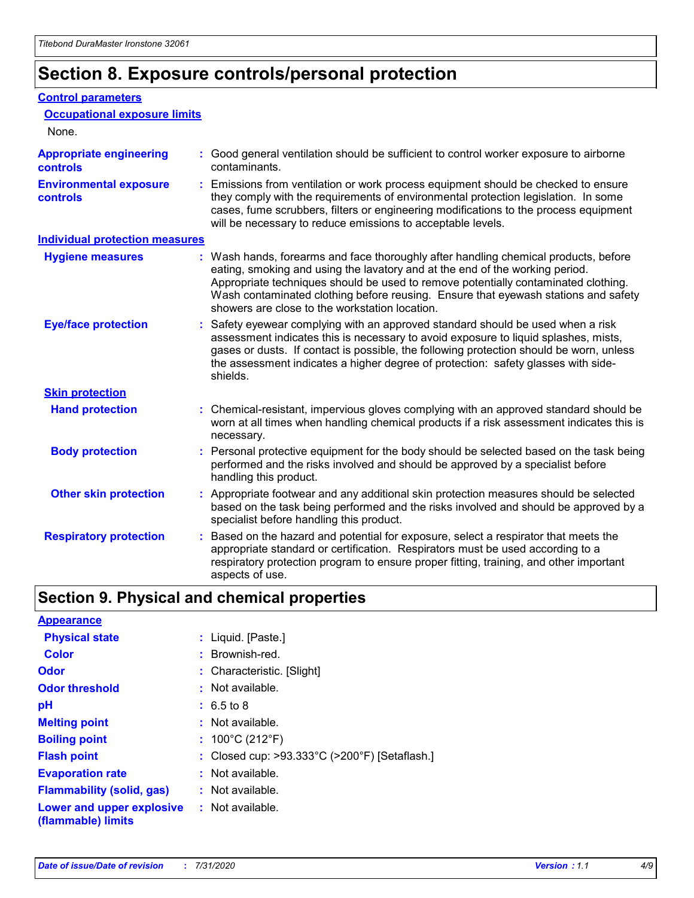# **Section 8. Exposure controls/personal protection**

#### **Control parameters**

| <b>Occupational exposure limits</b>               |                                                                                                                                                                                                                                                                                                                                                                                                   |
|---------------------------------------------------|---------------------------------------------------------------------------------------------------------------------------------------------------------------------------------------------------------------------------------------------------------------------------------------------------------------------------------------------------------------------------------------------------|
| None.                                             |                                                                                                                                                                                                                                                                                                                                                                                                   |
| <b>Appropriate engineering</b><br><b>controls</b> | : Good general ventilation should be sufficient to control worker exposure to airborne<br>contaminants.                                                                                                                                                                                                                                                                                           |
| <b>Environmental exposure</b><br><b>controls</b>  | : Emissions from ventilation or work process equipment should be checked to ensure<br>they comply with the requirements of environmental protection legislation. In some<br>cases, fume scrubbers, filters or engineering modifications to the process equipment<br>will be necessary to reduce emissions to acceptable levels.                                                                   |
| <b>Individual protection measures</b>             |                                                                                                                                                                                                                                                                                                                                                                                                   |
| <b>Hygiene measures</b>                           | : Wash hands, forearms and face thoroughly after handling chemical products, before<br>eating, smoking and using the lavatory and at the end of the working period.<br>Appropriate techniques should be used to remove potentially contaminated clothing.<br>Wash contaminated clothing before reusing. Ensure that eyewash stations and safety<br>showers are close to the workstation location. |
| <b>Eye/face protection</b>                        | : Safety eyewear complying with an approved standard should be used when a risk<br>assessment indicates this is necessary to avoid exposure to liquid splashes, mists,<br>gases or dusts. If contact is possible, the following protection should be worn, unless<br>the assessment indicates a higher degree of protection: safety glasses with side-<br>shields.                                |
| <b>Skin protection</b>                            |                                                                                                                                                                                                                                                                                                                                                                                                   |
| <b>Hand protection</b>                            | : Chemical-resistant, impervious gloves complying with an approved standard should be<br>worn at all times when handling chemical products if a risk assessment indicates this is<br>necessary.                                                                                                                                                                                                   |
| <b>Body protection</b>                            | : Personal protective equipment for the body should be selected based on the task being<br>performed and the risks involved and should be approved by a specialist before<br>handling this product.                                                                                                                                                                                               |
| <b>Other skin protection</b>                      | : Appropriate footwear and any additional skin protection measures should be selected<br>based on the task being performed and the risks involved and should be approved by a<br>specialist before handling this product.                                                                                                                                                                         |
| <b>Respiratory protection</b>                     | Based on the hazard and potential for exposure, select a respirator that meets the<br>appropriate standard or certification. Respirators must be used according to a<br>respiratory protection program to ensure proper fitting, training, and other important<br>aspects of use.                                                                                                                 |

# **Section 9. Physical and chemical properties**

| <b>Appearance</b>                                                       |                                               |
|-------------------------------------------------------------------------|-----------------------------------------------|
| <b>Physical state</b>                                                   | : Liquid. [Paste.]                            |
| <b>Color</b>                                                            | : Brownish-red.                               |
| Odor                                                                    | : Characteristic. [Slight]                    |
| <b>Odor threshold</b>                                                   | : Not available.                              |
| рH                                                                      | $: 6.5 \text{ to } 8$                         |
| <b>Melting point</b>                                                    | : Not available.                              |
| <b>Boiling point</b>                                                    | : $100^{\circ}$ C (212 $^{\circ}$ F)          |
| <b>Flash point</b>                                                      | : Closed cup: >93.333°C (>200°F) [Setaflash.] |
| <b>Evaporation rate</b>                                                 | : Not available.                              |
| <b>Flammability (solid, gas)</b>                                        | : Not available.                              |
| <b>Lower and upper explosive : Not available.</b><br>(flammable) limits |                                               |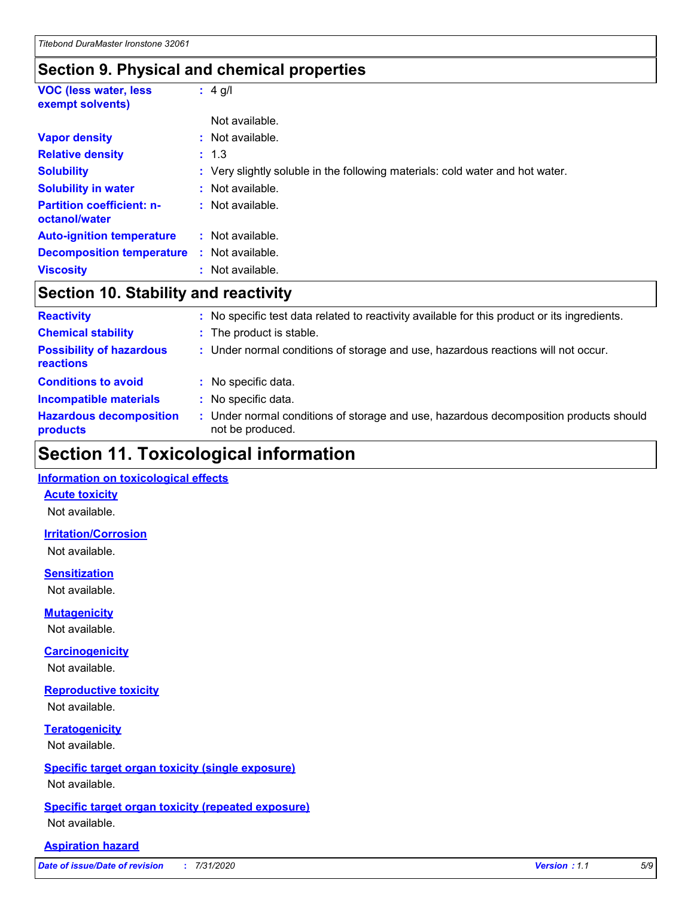## **Section 9. Physical and chemical properties**

| <b>VOC (less water, less</b><br>exempt solvents)  |    | : $4$ g/l                                                                     |
|---------------------------------------------------|----|-------------------------------------------------------------------------------|
|                                                   |    | Not available.                                                                |
| <b>Vapor density</b>                              |    | Not available.                                                                |
| <b>Relative density</b>                           |    | : 1.3                                                                         |
| <b>Solubility</b>                                 |    | : Very slightly soluble in the following materials: cold water and hot water. |
| <b>Solubility in water</b>                        |    | Not available.                                                                |
| <b>Partition coefficient: n-</b><br>octanol/water |    | : Not available.                                                              |
| <b>Auto-ignition temperature</b>                  |    | Not available.                                                                |
| <b>Decomposition temperature</b>                  |    | Not available.                                                                |
| <b>Viscosity</b>                                  | t. | Not available.                                                                |

# **Section 10. Stability and reactivity**

| <b>Reactivity</b>                            | ÷. | No specific test data related to reactivity available for this product or its ingredients.                |
|----------------------------------------------|----|-----------------------------------------------------------------------------------------------------------|
| <b>Chemical stability</b>                    |    | : The product is stable.                                                                                  |
| <b>Possibility of hazardous</b><br>reactions |    | : Under normal conditions of storage and use, hazardous reactions will not occur.                         |
| <b>Conditions to avoid</b>                   |    | : No specific data.                                                                                       |
| <b>Incompatible materials</b>                |    | : No specific data.                                                                                       |
| <b>Hazardous decomposition</b><br>products   |    | : Under normal conditions of storage and use, hazardous decomposition products should<br>not be produced. |

# **Section 11. Toxicological information**

#### **Information on toxicological effects**

#### **Acute toxicity**

Not available.

#### **Irritation/Corrosion**

Not available.

#### **Sensitization**

Not available.

#### **Mutagenicity**

Not available.

#### **Carcinogenicity**

Not available.

#### **Reproductive toxicity**

Not available.

### **Teratogenicity**

Not available.

#### **Specific target organ toxicity (single exposure)**

Not available.

#### **Specific target organ toxicity (repeated exposure)** Not available.

#### **Aspiration hazard**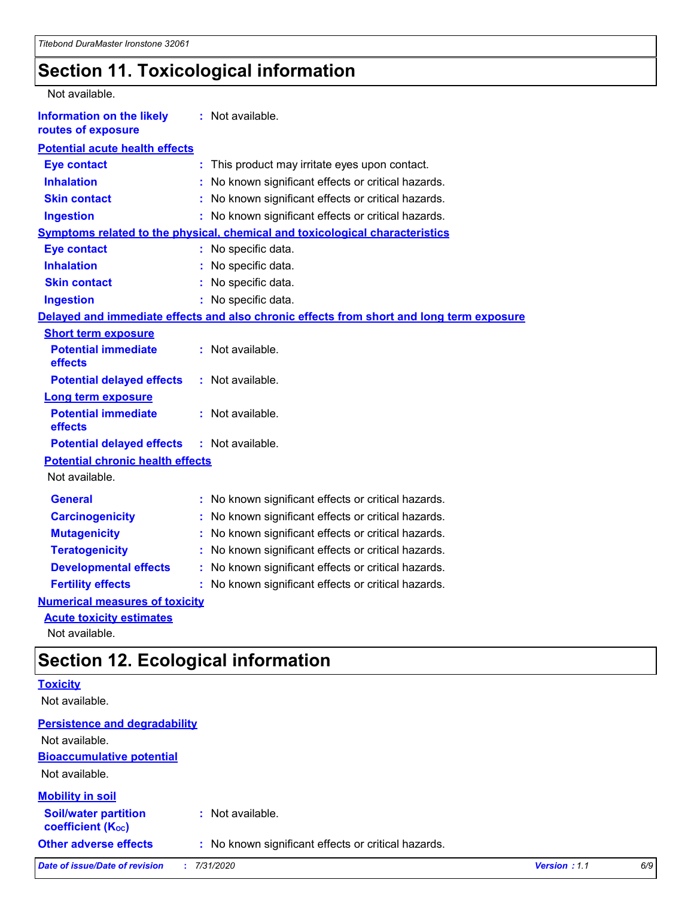# **Section 11. Toxicological information**

| Not available.                                         |                                                                                          |
|--------------------------------------------------------|------------------------------------------------------------------------------------------|
| <b>Information on the likely</b><br>routes of exposure | : Not available.                                                                         |
| <b>Potential acute health effects</b>                  |                                                                                          |
| <b>Eye contact</b>                                     | : This product may irritate eyes upon contact.                                           |
| <b>Inhalation</b>                                      | No known significant effects or critical hazards.                                        |
| <b>Skin contact</b>                                    | : No known significant effects or critical hazards.                                      |
| <b>Ingestion</b>                                       | : No known significant effects or critical hazards.                                      |
|                                                        | <b>Symptoms related to the physical, chemical and toxicological characteristics</b>      |
| <b>Eye contact</b>                                     | : No specific data.                                                                      |
| <b>Inhalation</b>                                      | : No specific data.                                                                      |
| <b>Skin contact</b>                                    | : No specific data.                                                                      |
| <b>Ingestion</b>                                       | : No specific data.                                                                      |
|                                                        | Delayed and immediate effects and also chronic effects from short and long term exposure |
| <b>Short term exposure</b>                             |                                                                                          |
| <b>Potential immediate</b><br>effects                  | : Not available.                                                                         |
| <b>Potential delayed effects</b>                       | : Not available.                                                                         |
| <b>Long term exposure</b>                              |                                                                                          |
| <b>Potential immediate</b><br>effects                  | : Not available.                                                                         |
| <b>Potential delayed effects</b>                       | $:$ Not available.                                                                       |
| <b>Potential chronic health effects</b>                |                                                                                          |
| Not available.                                         |                                                                                          |
| <b>General</b>                                         | : No known significant effects or critical hazards.                                      |
| <b>Carcinogenicity</b>                                 | No known significant effects or critical hazards.                                        |
| <b>Mutagenicity</b>                                    | No known significant effects or critical hazards.<br>÷.                                  |
| <b>Teratogenicity</b>                                  | No known significant effects or critical hazards.                                        |
| <b>Developmental effects</b>                           | No known significant effects or critical hazards.                                        |
| <b>Fertility effects</b>                               | : No known significant effects or critical hazards.                                      |
| <b>Numerical measures of toxicity</b>                  |                                                                                          |
| <b>Acute toxicity estimates</b>                        |                                                                                          |

Not available.

# **Section 12. Ecological information**

| <b>Toxicity</b>                                         |                                                     |              |     |  |  |  |
|---------------------------------------------------------|-----------------------------------------------------|--------------|-----|--|--|--|
| Not available.                                          |                                                     |              |     |  |  |  |
| <b>Persistence and degradability</b>                    |                                                     |              |     |  |  |  |
| Not available.                                          |                                                     |              |     |  |  |  |
| <b>Bioaccumulative potential</b>                        |                                                     |              |     |  |  |  |
| Not available.                                          |                                                     |              |     |  |  |  |
| <b>Mobility in soil</b>                                 |                                                     |              |     |  |  |  |
| <b>Soil/water partition</b><br><b>coefficient (Koc)</b> | : Not available.                                    |              |     |  |  |  |
| <b>Other adverse effects</b>                            | : No known significant effects or critical hazards. |              |     |  |  |  |
| Date of issue/Date of revision                          | 7/31/2020                                           | Version: 1.1 | 6/9 |  |  |  |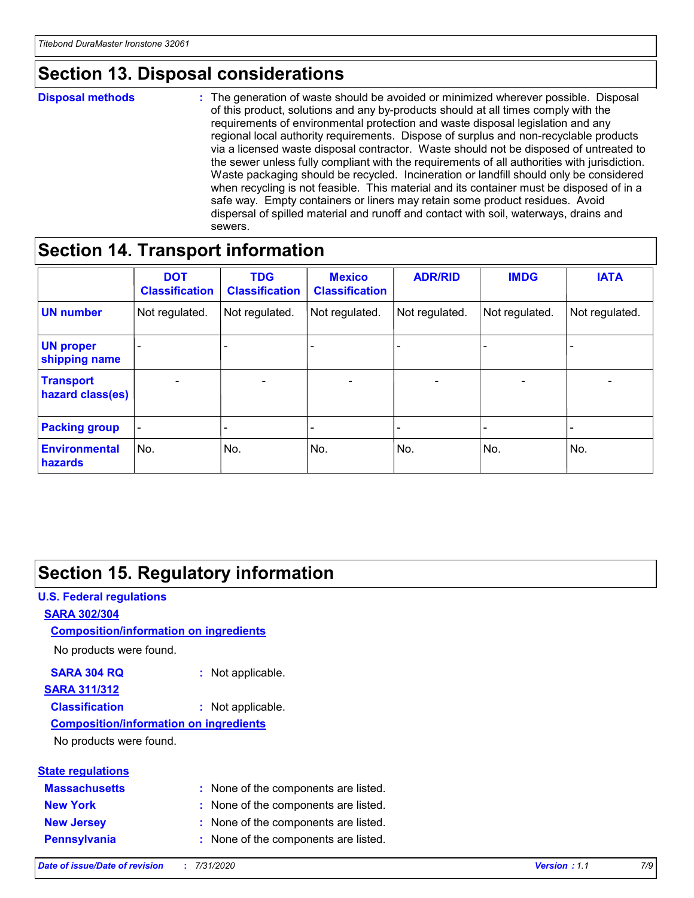# **Section 13. Disposal considerations**

#### **Disposal methods :**

The generation of waste should be avoided or minimized wherever possible. Disposal of this product, solutions and any by-products should at all times comply with the requirements of environmental protection and waste disposal legislation and any regional local authority requirements. Dispose of surplus and non-recyclable products via a licensed waste disposal contractor. Waste should not be disposed of untreated to the sewer unless fully compliant with the requirements of all authorities with jurisdiction. Waste packaging should be recycled. Incineration or landfill should only be considered when recycling is not feasible. This material and its container must be disposed of in a safe way. Empty containers or liners may retain some product residues. Avoid dispersal of spilled material and runoff and contact with soil, waterways, drains and sewers.

# **Section 14. Transport information**

|                                      | <b>DOT</b><br><b>Classification</b> | <b>TDG</b><br><b>Classification</b> | <b>Mexico</b><br><b>Classification</b> | <b>ADR/RID</b>           | <b>IMDG</b>              | <b>IATA</b>              |
|--------------------------------------|-------------------------------------|-------------------------------------|----------------------------------------|--------------------------|--------------------------|--------------------------|
| <b>UN number</b>                     | Not regulated.                      | Not regulated.                      | Not regulated.                         | Not regulated.           | Not regulated.           | Not regulated.           |
| <b>UN proper</b><br>shipping name    | $\qquad \qquad -$                   | $\qquad \qquad -$                   |                                        |                          |                          | $\overline{\phantom{0}}$ |
| <b>Transport</b><br>hazard class(es) | $\overline{\phantom{a}}$            | $\overline{\phantom{a}}$            | $\overline{\phantom{a}}$               | $\overline{\phantom{a}}$ | $\overline{\phantom{a}}$ | $\overline{\phantom{a}}$ |
| <b>Packing group</b>                 | $\overline{\phantom{a}}$            |                                     |                                        | -                        |                          | -                        |
| <b>Environmental</b><br>hazards      | No.                                 | No.                                 | No.                                    | No.                      | No.                      | No.                      |

# **Section 15. Regulatory information**

# **U.S. Federal regulations SARA 302/304 SARA 304 RQ :** Not applicable. No products were found. **Composition/information on ingredients**

#### **SARA 311/312**

**Classification :** Not applicable.

#### **Composition/information on ingredients**

No products were found.

| <b>State regulations</b> |                                      |
|--------------------------|--------------------------------------|
| <b>Massachusetts</b>     | : None of the components are listed. |
| <b>New York</b>          | : None of the components are listed. |
| <b>New Jersey</b>        | : None of the components are listed. |
|                          |                                      |

**Pennsylvania :** None of the components are listed.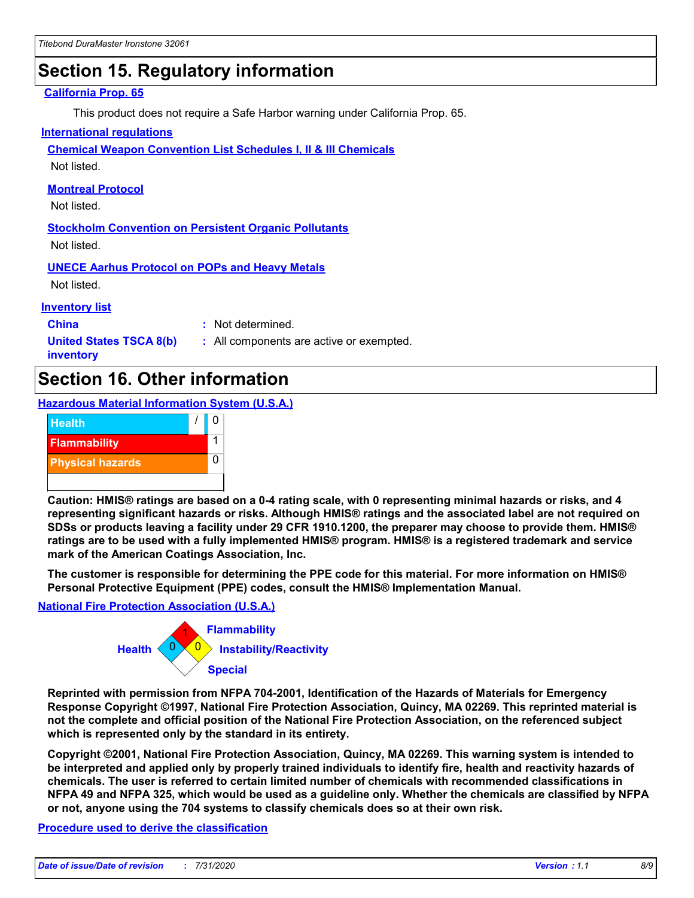# **Section 15. Regulatory information**

#### **California Prop. 65**

This product does not require a Safe Harbor warning under California Prop. 65.

#### **International regulations**

**Chemical Weapon Convention List Schedules I, II & III Chemicals**

Not listed.

#### **Montreal Protocol**

Not listed.

**Stockholm Convention on Persistent Organic Pollutants** Not listed.

**UNECE Aarhus Protocol on POPs and Heavy Metals**

Not listed.

#### **Inventory list**

**China :** Not determined.

**United States TSCA 8(b) inventory**

**:** All components are active or exempted.

# **Section 16. Other information**

**Hazardous Material Information System (U.S.A.)**



**Caution: HMIS® ratings are based on a 0-4 rating scale, with 0 representing minimal hazards or risks, and 4 representing significant hazards or risks. Although HMIS® ratings and the associated label are not required on SDSs or products leaving a facility under 29 CFR 1910.1200, the preparer may choose to provide them. HMIS® ratings are to be used with a fully implemented HMIS® program. HMIS® is a registered trademark and service mark of the American Coatings Association, Inc.**

**The customer is responsible for determining the PPE code for this material. For more information on HMIS® Personal Protective Equipment (PPE) codes, consult the HMIS® Implementation Manual.**

#### **National Fire Protection Association (U.S.A.)**



**Reprinted with permission from NFPA 704-2001, Identification of the Hazards of Materials for Emergency Response Copyright ©1997, National Fire Protection Association, Quincy, MA 02269. This reprinted material is not the complete and official position of the National Fire Protection Association, on the referenced subject which is represented only by the standard in its entirety.**

**Copyright ©2001, National Fire Protection Association, Quincy, MA 02269. This warning system is intended to be interpreted and applied only by properly trained individuals to identify fire, health and reactivity hazards of chemicals. The user is referred to certain limited number of chemicals with recommended classifications in NFPA 49 and NFPA 325, which would be used as a guideline only. Whether the chemicals are classified by NFPA or not, anyone using the 704 systems to classify chemicals does so at their own risk.**

#### **Procedure used to derive the classification**